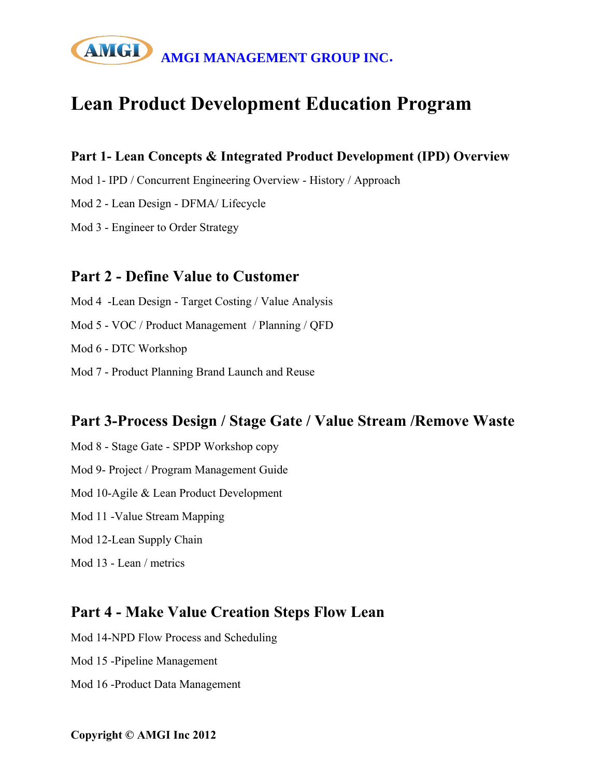# AMGI MANAGEMENT GROUP INC.

# **Lean Product Development Education Program**

#### **Part 1- Lean Concepts & Integrated Product Development (IPD) Overview**

Mod 1- IPD / Concurrent Engineering Overview - History / Approach

Mod 2 - Lean Design - DFMA/ Lifecycle

Mod 3 - Engineer to Order Strategy

#### **Part 2 - Define Value to Customer**

Mod 4 -Lean Design - Target Costing / Value Analysis

Mod 5 - VOC / Product Management / Planning / QFD

Mod 6 - DTC Workshop

Mod 7 - Product Planning Brand Launch and Reuse

#### **Part 3-Process Design / Stage Gate / Value Stream /Remove Waste**

Mod 8 - Stage Gate - SPDP Workshop copy Mod 9- Project / Program Management Guide Mod 10-Agile & Lean Product Development Mod 11 -Value Stream Mapping Mod 12-Lean Supply Chain

Mod 13 - Lean / metrics

### **Part 4 - Make Value Creation Steps Flow Lean**

Mod 14-NPD Flow Process and Scheduling

Mod 15 -Pipeline Management

Mod 16 -Product Data Management